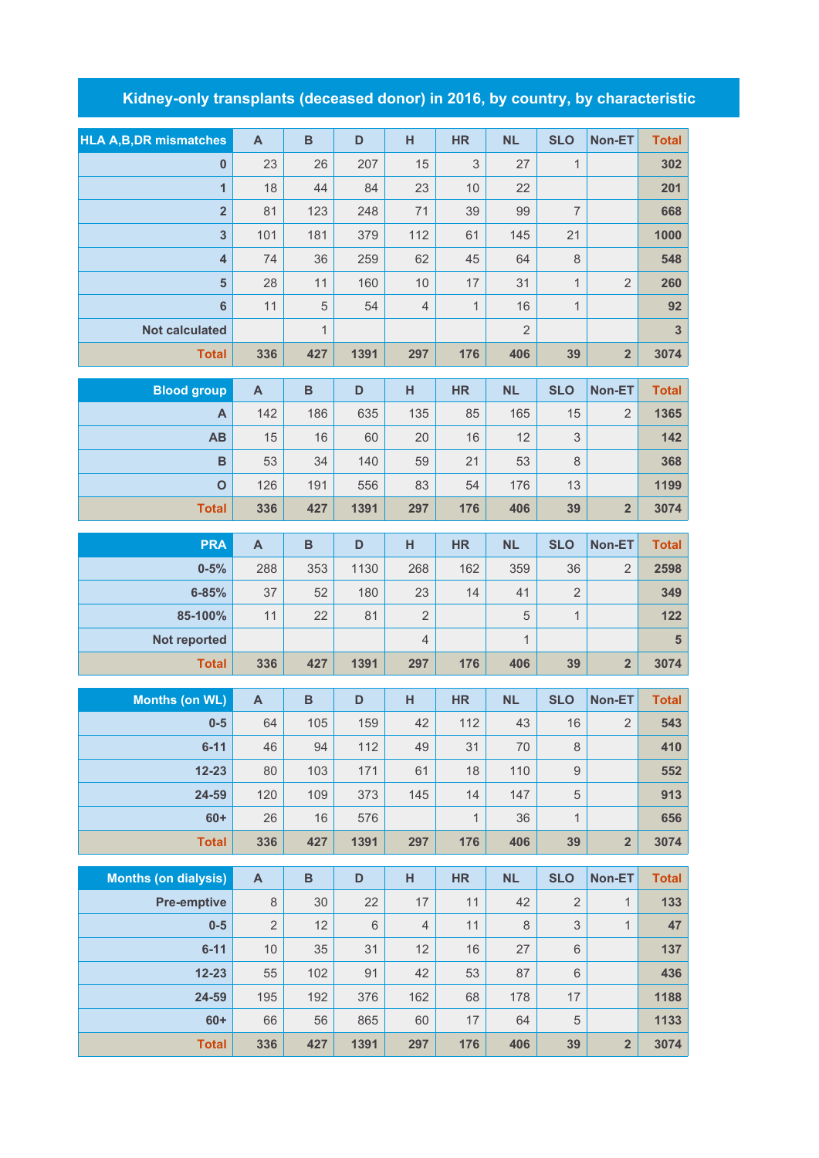## **Kidney-only transplants (deceased donor) in 2016, by country, by characteristic**

| <b>HLA A, B, DR mismatches</b> | $\mathsf{A}$              | $\mathbf B$  | D     | H              | <b>HR</b>    | <b>NL</b>      | <b>SLO</b>       | Non-ET                  | <b>Total</b>            |
|--------------------------------|---------------------------|--------------|-------|----------------|--------------|----------------|------------------|-------------------------|-------------------------|
| $\mathbf{0}$                   | 23                        | 26           | 207   | 15             | 3            | 27             | $\mathbf{1}$     |                         | 302                     |
| $\mathbf{1}$                   | 18                        | 44           | 84    | 23             | 10           | 22             |                  |                         | 201                     |
| $\overline{2}$                 | 81                        | 123          | 248   | 71             | 39           | 99             | $\overline{7}$   |                         | 668                     |
| $\overline{\mathbf{3}}$        | 101                       | 181          | 379   | 112            | 61           | 145            | 21               |                         | 1000                    |
| $\overline{4}$                 | 74                        | 36           | 259   | 62             | 45           | 64             | $\,8\,$          |                         | 548                     |
| 5                              | 28                        | 11           | 160   | 10             | 17           | 31             | $\mathbf{1}$     | $\overline{2}$          | 260                     |
| 6                              | 11                        | 5            | 54    | $\overline{4}$ | $\mathbf{1}$ | 16             | $\mathbf{1}$     |                         | 92                      |
| <b>Not calculated</b>          |                           | $\mathbf{1}$ |       |                |              | $\overline{2}$ |                  |                         | $\overline{\mathbf{3}}$ |
| <b>Total</b>                   | 336                       | 427          | 1391  | 297            | 176          | 406            | 39               | $\overline{2}$          | 3074                    |
|                                |                           |              |       |                |              |                |                  |                         |                         |
| <b>Blood group</b>             | $\mathsf{A}$              | B            | D     | н              | <b>HR</b>    | <b>NL</b>      | <b>SLO</b>       | Non-ET                  | <b>Total</b>            |
| $\overline{A}$                 | 142                       | 186          | 635   | 135            | 85           | 165            | 15               | $\overline{2}$          | 1365                    |
| <b>AB</b>                      | 15                        | 16           | 60    | 20             | 16           | 12             | 3                |                         | 142                     |
| $\mathbf B$                    | 53                        | 34           | 140   | 59             | 21           | 53             | $\,8\,$          |                         | 368                     |
| $\mathbf 0$                    | 126                       | 191          | 556   | 83             | 54           | 176            | 13               |                         | 1199                    |
| <b>Total</b>                   | 336                       | 427          | 1391  | 297            | 176          | 406            | 39               | $\overline{2}$          | 3074                    |
| <b>PRA</b>                     | $\mathsf{A}$              | $\, {\bf B}$ | D     | H              | <b>HR</b>    | <b>NL</b>      | <b>SLO</b>       | Non-ET                  | <b>Total</b>            |
| $0 - 5%$                       | 288                       | 353          | 1130  | 268            | 162          | 359            | 36               | $\overline{2}$          | 2598                    |
| $6 - 85%$                      | 37                        | 52           | 180   | 23             | 14           | 41             | $\overline{2}$   |                         | 349                     |
| 85-100%                        | 11                        | 22           | 81    | $\overline{2}$ |              | 5              | $\mathbf{1}$     |                         | 122                     |
| Not reported                   |                           |              |       | $\sqrt{4}$     |              | $\mathbf{1}$   |                  |                         | $5\phantom{1}$          |
| <b>Total</b>                   | 336                       | 427          | 1391  | 297            | 176          | 406            | 39               | $\overline{2}$          | 3074                    |
|                                |                           |              |       |                |              |                |                  |                         |                         |
| <b>Months (on WL)</b>          | $\boldsymbol{\mathsf{A}}$ | $\, {\bf B}$ | D     | H              | <b>HR</b>    | <b>NL</b>      | <b>SLO</b>       | Non-ET                  | <b>Total</b>            |
| $0 - 5$                        | 64                        | 105          | 159   | 42             | 112          | 43             | 16               | $\overline{2}$          | 543                     |
| $6 - 11$                       | 46                        | 94           | 112   | 49             | 31           | 70             | 8                |                         | 410                     |
| $12 - 23$                      | 80                        | 103          | 171   | 61             | 18           | 110            | $\boldsymbol{9}$ |                         | 552                     |
| 24-59                          | 120                       | 109          | 373   | 145            | 14           | 147            | $\sqrt{5}$       |                         | 913                     |
| $60+$                          | 26                        | 16           | 576   |                | $\mathbf{1}$ | 36             | $\mathbf{1}$     |                         | 656                     |
| <b>Total</b>                   | 336                       | 427          | 1391  | 297            | 176          | 406            | 39               | $\overline{\mathbf{2}}$ | 3074                    |
|                                |                           |              |       |                |              |                |                  |                         |                         |
| <b>Months (on dialysis)</b>    | $\boldsymbol{\mathsf{A}}$ | $\, {\bf B}$ | D     | H              | <b>HR</b>    | <b>NL</b>      | <b>SLO</b>       | Non-ET                  | <b>Total</b>            |
| <b>Pre-emptive</b>             | $\,8\,$                   | 30           | 22    | 17             | 11           | 42             | $\overline{2}$   | $\mathbf{1}$            | 133                     |
| $0-5$                          | $\overline{2}$            | 12           | $6\,$ | $\overline{4}$ | 11           | 8              | $\mathfrak 3$    | $\mathbf{1}$            | 47                      |
| $6 - 11$                       | $10$                      | 35           | 31    | 12             | 16           | 27             | $\,6\,$          |                         | 137                     |

| <b>Total</b> | 336 | 427 | 1391 | 297 | 176 | 406 | 39 | $\overline{2}$ | 3074 |
|--------------|-----|-----|------|-----|-----|-----|----|----------------|------|
| $60+$        | 66  | 56  | 865  | 60  | 17  | 64  | 5  |                | 1133 |
| 24-59        | 195 | 192 | 376  | 162 | 68  | 178 | 17 |                | 1188 |
| $12 - 23$    | 55  | 102 | 91   | 42  | 53  | 87  | 6  |                | 436  |
| $6 - 11$     | 10  | 35  | 31   | 12  | 16  | 27  | 6  |                | 137  |